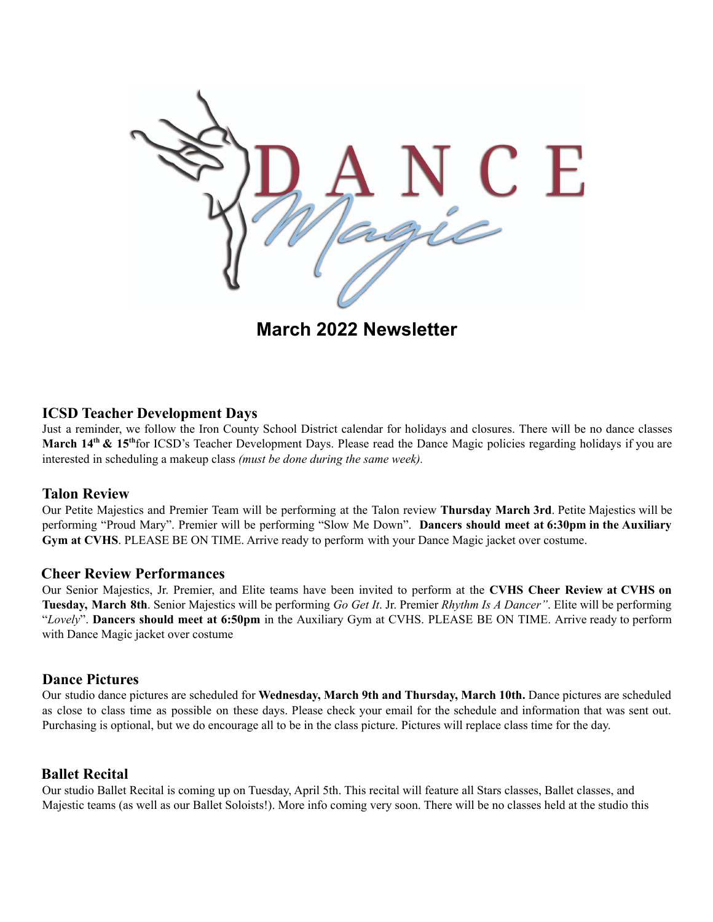

**March 2022 Newsletter**

### **ICSD Teacher Development Days**

Just a reminder, we follow the Iron County School District calendar for holidays and closures. There will be no dance classes March 14<sup>th</sup> & 15<sup>th</sup> for ICSD's Teacher Development Days. Please read the Dance Magic policies regarding holidays if you are interested in scheduling a makeup class *(must be done during the same week).*

#### **Talon Review**

Our Petite Majestics and Premier Team will be performing at the Talon review **Thursday March 3rd**. Petite Majestics will be performing "Proud Mary". Premier will be performing "Slow Me Down". **Dancers should meet at 6:30pm in the Auxiliary Gym at CVHS**. PLEASE BE ON TIME. Arrive ready to perform with your Dance Magic jacket over costume.

#### **Cheer Review Performances**

Our Senior Majestics, Jr. Premier, and Elite teams have been invited to perform at the **CVHS Cheer Review at CVHS on Tuesday, March 8th**. Senior Majestics will be performing *Go Get It*. Jr. Premier *Rhythm Is A Dancer"*. Elite will be performing "*Lovely*". **Dancers should meet at 6:50pm** in the Auxiliary Gym at CVHS. PLEASE BE ON TIME. Arrive ready to perform with Dance Magic jacket over costume

#### **Dance Pictures**

Our studio dance pictures are scheduled for **Wednesday, March 9th and Thursday, March 10th.** Dance pictures are scheduled as close to class time as possible on these days. Please check your email for the schedule and information that was sent out. Purchasing is optional, but we do encourage all to be in the class picture. Pictures will replace class time for the day.

## **Ballet Recital**

Our studio Ballet Recital is coming up on Tuesday, April 5th. This recital will feature all Stars classes, Ballet classes, and Majestic teams (as well as our Ballet Soloists!). More info coming very soon. There will be no classes held at the studio this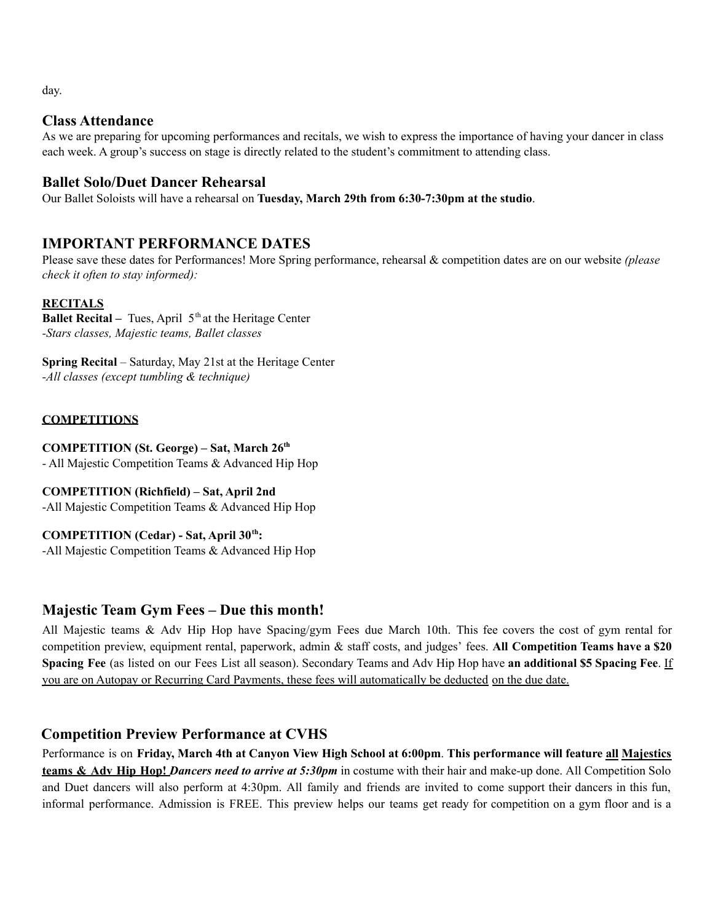day.

## **Class Attendance**

As we are preparing for upcoming performances and recitals, we wish to express the importance of having your dancer in class each week. A group's success on stage is directly related to the student's commitment to attending class.

# **Ballet Solo/Duet Dancer Rehearsal**

Our Ballet Soloists will have a rehearsal on **Tuesday, March 29th from 6:30-7:30pm at the studio**.

# **IMPORTANT PERFORMANCE DATES**

Please save these dates for Performances! More Spring performance, rehearsal & competition dates are on our website *(please check it often to stay informed):*

### **RECITALS**

**Ballet Recital –** Tues, April 5<sup>th</sup> at the Heritage Center *-Stars classes, Majestic teams, Ballet classes*

**Spring Recital** – Saturday, May 21st at the Heritage Center *-All classes (except tumbling & technique)*

## **COMPETITIONS**

**COMPETITION (St. George) – Sat, March 26th** - All Majestic Competition Teams & Advanced Hip Hop

**COMPETITION (Richfield) – Sat, April 2nd** -All Majestic Competition Teams & Advanced Hip Hop

**COMPETITION (Cedar) - Sat, April 30th :** -All Majestic Competition Teams & Advanced Hip Hop

# **Majestic Team Gym Fees – Due this month!**

All Majestic teams & Adv Hip Hop have Spacing/gym Fees due March 10th. This fee covers the cost of gym rental for competition preview, equipment rental, paperwork, admin & staff costs, and judges' fees. **All Competition Teams have a \$20 Spacing Fee** (as listed on our Fees List all season). Secondary Teams and Adv Hip Hop have **an additional \$5 Spacing Fee**. If you are on Autopay or Recurring Card Payments, these fees will automatically be deducted on the due date.

# **Competition Preview Performance at CVHS**

Performance is on Friday, March 4th at Canyon View High School at 6:00pm. This performance will feature all Majestics **teams & Adv Hip Hop!** *Dancers need to arrive at 5:30pm* in costume with their hair and make-up done. All Competition Solo and Duet dancers will also perform at 4:30pm. All family and friends are invited to come support their dancers in this fun, informal performance. Admission is FREE. This preview helps our teams get ready for competition on a gym floor and is a